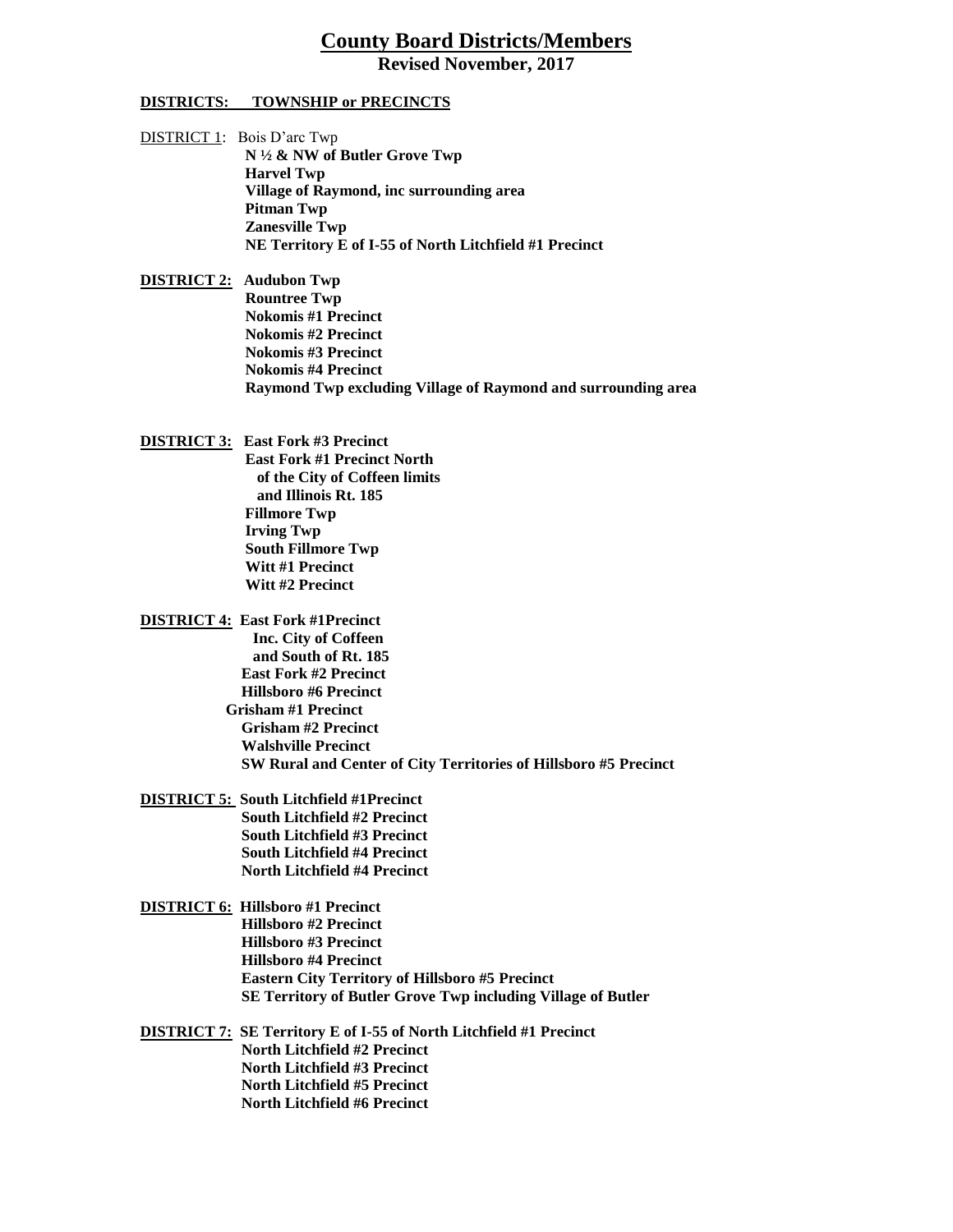## **County Board Districts/Members**

**Revised November, 2017**

## **DISTRICTS: TOWNSHIP or PRECINCTS**

DISTRICT 1: Bois D'arc Twp  **N ½ & NW of Butler Grove Twp Harvel Twp Village of Raymond, inc surrounding area Pitman Twp Zanesville Twp NE Territory E of I-55 of North Litchfield #1 Precinct**

**DISTRICT 2: Audubon Twp Rountree Twp Nokomis #1 Precinct Nokomis #2 Precinct Nokomis #3 Precinct Nokomis #4 Precinct Raymond Twp excluding Village of Raymond and surrounding area**

- **DISTRICT 3: East Fork #3 Precinct East Fork #1 Precinct North of the City of Coffeen limits and Illinois Rt. 185 Fillmore Twp Irving Twp South Fillmore Twp Witt #1 Precinct Witt #2 Precinct**
- **DISTRICT 4: East Fork #1Precinct Inc. City of Coffeen and South of Rt. 185 East Fork #2 Precinct Hillsboro #6 Precinct Grisham #1 Precinct Grisham #2 Precinct Walshville Precinct SW Rural and Center of City Territories of Hillsboro #5 Precinct**
- **DISTRICT 5: South Litchfield #1Precinct South Litchfield #2 Precinct South Litchfield #3 Precinct South Litchfield #4 Precinct North Litchfield #4 Precinct**
- **DISTRICT 6: Hillsboro #1 Precinct Hillsboro #2 Precinct Hillsboro #3 Precinct Hillsboro #4 Precinct Eastern City Territory of Hillsboro #5 Precinct SE Territory of Butler Grove Twp including Village of Butler**
- **DISTRICT 7: SE Territory E of I-55 of North Litchfield #1 Precinct North Litchfield #2 Precinct North Litchfield #3 Precinct North Litchfield #5 Precinct North Litchfield #6 Precinct**